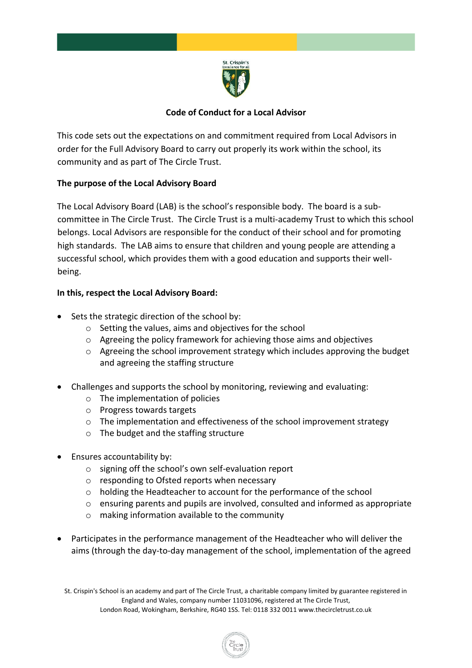

# **Code of Conduct for a Local Advisor**

This code sets out the expectations on and commitment required from Local Advisors in order for the Full Advisory Board to carry out properly its work within the school, its community and as part of The Circle Trust.

# **The purpose of the Local Advisory Board**

The Local Advisory Board (LAB) is the school's responsible body. The board is a subcommittee in The Circle Trust. The Circle Trust is a multi-academy Trust to which this school belongs. Local Advisors are responsible for the conduct of their school and for promoting high standards. The LAB aims to ensure that children and young people are attending a successful school, which provides them with a good education and supports their wellbeing.

# **In this, respect the Local Advisory Board:**

- Sets the strategic direction of the school by:
	- o Setting the values, aims and objectives for the school
	- o Agreeing the policy framework for achieving those aims and objectives
	- o Agreeing the school improvement strategy which includes approving the budget and agreeing the staffing structure
- Challenges and supports the school by monitoring, reviewing and evaluating:
	- o The implementation of policies
	- o Progress towards targets
	- o The implementation and effectiveness of the school improvement strategy
	- o The budget and the staffing structure
- Ensures accountability by:
	- o signing off the school's own self-evaluation report
	- o responding to Ofsted reports when necessary
	- o holding the Headteacher to account for the performance of the school
	- o ensuring parents and pupils are involved, consulted and informed as appropriate
	- o making information available to the community
- Participates in the performance management of the Headteacher who will deliver the aims (through the day-to-day management of the school, implementation of the agreed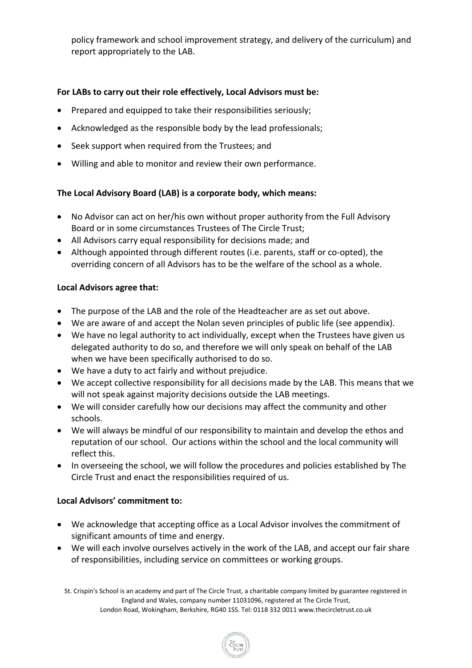policy framework and school improvement strategy, and delivery of the curriculum) and report appropriately to the LAB.

# **For LABs to carry out their role effectively, Local Advisors must be:**

- Prepared and equipped to take their responsibilities seriously;
- Acknowledged as the responsible body by the lead professionals;
- Seek support when required from the Trustees; and
- Willing and able to monitor and review their own performance.

# **The Local Advisory Board (LAB) is a corporate body, which means:**

- No Advisor can act on her/his own without proper authority from the Full Advisory Board or in some circumstances Trustees of The Circle Trust;
- All Advisors carry equal responsibility for decisions made; and
- Although appointed through different routes (i.e. parents, staff or co-opted), the overriding concern of all Advisors has to be the welfare of the school as a whole.

## **Local Advisors agree that:**

- The purpose of the LAB and the role of the Headteacher are as set out above.
- We are aware of and accept the Nolan seven principles of public life (see appendix).
- We have no legal authority to act individually, except when the Trustees have given us delegated authority to do so, and therefore we will only speak on behalf of the LAB when we have been specifically authorised to do so.
- We have a duty to act fairly and without prejudice.
- We accept collective responsibility for all decisions made by the LAB. This means that we will not speak against majority decisions outside the LAB meetings.
- We will consider carefully how our decisions may affect the community and other schools.
- We will always be mindful of our responsibility to maintain and develop the ethos and reputation of our school. Our actions within the school and the local community will reflect this.
- In overseeing the school, we will follow the procedures and policies established by The Circle Trust and enact the responsibilities required of us.

## **Local Advisors' commitment to:**

- We acknowledge that accepting office as a Local Advisor involves the commitment of significant amounts of time and energy.
- We will each involve ourselves actively in the work of the LAB, and accept our fair share of responsibilities, including service on committees or working groups.

St. Crispin's School is an academy and part of The Circle Trust, a charitable company limited by guarantee registered in England and Wales, company number 11031096, registered at The Circle Trust,

London Road, Wokingham, Berkshire, RG40 1SS. Tel: 0118 332 0011 www.thecircletrust.co.uk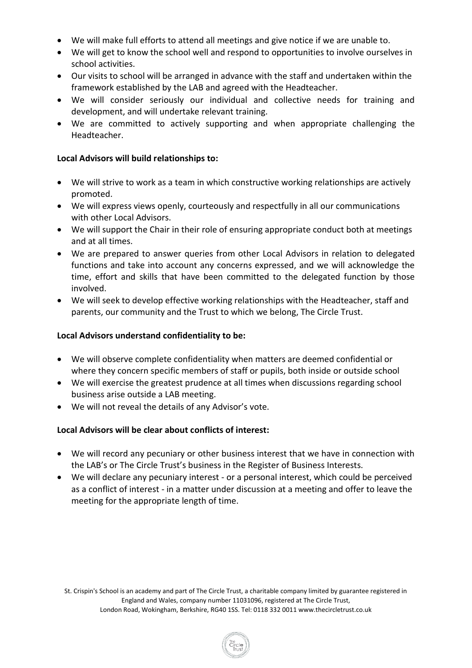- We will make full efforts to attend all meetings and give notice if we are unable to.
- We will get to know the school well and respond to opportunities to involve ourselves in school activities.
- Our visits to school will be arranged in advance with the staff and undertaken within the framework established by the LAB and agreed with the Headteacher.
- We will consider seriously our individual and collective needs for training and development, and will undertake relevant training.
- We are committed to actively supporting and when appropriate challenging the Headteacher.

## **Local Advisors will build relationships to:**

- We will strive to work as a team in which constructive working relationships are actively promoted.
- We will express views openly, courteously and respectfully in all our communications with other Local Advisors.
- We will support the Chair in their role of ensuring appropriate conduct both at meetings and at all times.
- We are prepared to answer queries from other Local Advisors in relation to delegated functions and take into account any concerns expressed, and we will acknowledge the time, effort and skills that have been committed to the delegated function by those involved.
- We will seek to develop effective working relationships with the Headteacher, staff and parents, our community and the Trust to which we belong, The Circle Trust.

## **Local Advisors understand confidentiality to be:**

- We will observe complete confidentiality when matters are deemed confidential or where they concern specific members of staff or pupils, both inside or outside school
- We will exercise the greatest prudence at all times when discussions regarding school business arise outside a LAB meeting.
- We will not reveal the details of any Advisor's vote.

## **Local Advisors will be clear about conflicts of interest:**

- We will record any pecuniary or other business interest that we have in connection with the LAB's or The Circle Trust's business in the Register of Business Interests.
- We will declare any pecuniary interest or a personal interest, which could be perceived as a conflict of interest - in a matter under discussion at a meeting and offer to leave the meeting for the appropriate length of time.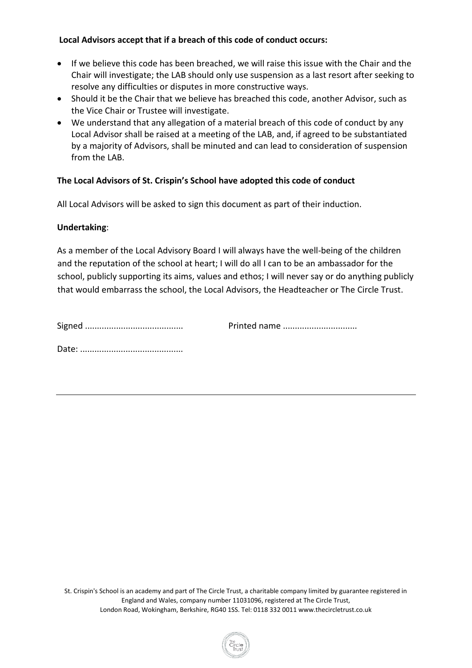## **Local Advisors accept that if a breach of this code of conduct occurs:**

- If we believe this code has been breached, we will raise this issue with the Chair and the Chair will investigate; the LAB should only use suspension as a last resort after seeking to resolve any difficulties or disputes in more constructive ways.
- Should it be the Chair that we believe has breached this code, another Advisor, such as the Vice Chair or Trustee will investigate.
- We understand that any allegation of a material breach of this code of conduct by any Local Advisor shall be raised at a meeting of the LAB, and, if agreed to be substantiated by a majority of Advisors, shall be minuted and can lead to consideration of suspension from the LAB.

# **The Local Advisors of St. Crispin's School have adopted this code of conduct**

All Local Advisors will be asked to sign this document as part of their induction.

## **Undertaking**:

As a member of the Local Advisory Board I will always have the well-being of the children and the reputation of the school at heart; I will do all I can to be an ambassador for the school, publicly supporting its aims, values and ethos; I will never say or do anything publicly that would embarrass the school, the Local Advisors, the Headteacher or The Circle Trust.

| Printed name |
|--------------|
|              |

Date: ...........................................